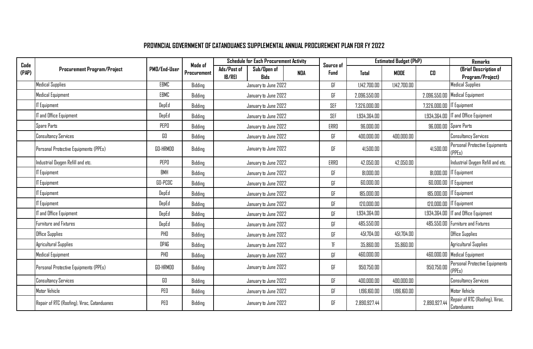## **PROVINCIAL GOVERNMENT OF CATANDUANES SUPPLEMENTAL ANNUAL PROCUREMENT PLAN FOR FY 2022**

| Code  | <b>Procurement Program/Project</b>          | PMD/End-User    | Mode of<br>Procurement | <b>Schedule for Each Procurement Activity</b> |                            |            | Source of    | <b>Estimated Budget (PhP)</b> |              |                             | <b>Remarks</b>                                 |
|-------|---------------------------------------------|-----------------|------------------------|-----------------------------------------------|----------------------------|------------|--------------|-------------------------------|--------------|-----------------------------|------------------------------------------------|
| (PAP) |                                             |                 |                        | Ads/Post of<br><b>IB/REI</b>                  | Sub/Open of<br><b>Bids</b> | <b>NDA</b> | Fund         | <b>Total</b>                  | MODE         | CO.                         | (Brief Description of<br>Program/Project)      |
|       | <b>Medical Supplies</b>                     | EBMC            | Bidding                |                                               | January to June 2022       |            | GF           | 1,142,700.00                  | 1,142,700.00 |                             | <b>Medical Supplies</b>                        |
|       | Medical Equipment                           | EBMC            | Bidding                |                                               | January to June 2022       |            | GF           | 2,096,550.00                  |              |                             | 2,096,550.00   Medical Equipment               |
|       | <b>IT Equipment</b>                         | DepEd           | Bidding                |                                               | January to June 2022       |            | SEF          | 7,326,000.00                  |              | 7,326,000.00   IT Equipment |                                                |
|       | IT and Office Equipment                     | DepEd           | Bidding                |                                               | January to June 2022       |            | SEF          | 1,934,364.00                  |              |                             | 1.934.364.00   IT and Office Equipment         |
|       | Spare Parts                                 | PEPO            | Bidding                |                                               | January to June 2022       |            | ERRO         | 96,000.00                     |              |                             | 96,000.00 Spare Parts                          |
|       | <b>Consultancy Services</b>                 | GO              | Bidding                |                                               | January to June 2022       |            | GF           | 400,000.00                    | 400,000.00   |                             | <b>Consultancy Services</b>                    |
|       | Personal Protective Equipments (PPEs)       | <b>GO-HRMDD</b> | Bidding                |                                               | January to June 2022       |            | GF           | 41,500.00                     |              | 41,500.00                   | Personal Protective Equipments<br>(PPEs)       |
|       | Industrial Oxygen Refill and etc.           | PEPO            | Bidding                |                                               | January to June 2022       |            | ERRO         | 42,050.00                     | 42,050.00    |                             | Industrial Oxygen Refill and etc.              |
|       | <b>IT Equipment</b>                         | <b>BMH</b>      | Bidding                |                                               | January to June 2022       |            | GF           | 81,000.00                     |              |                             | 81,000.00 IT Equipment                         |
|       | <b>IT Equipment</b>                         | GO-PCDC         | Bidding                |                                               | January to June 2022       |            | GF           | 60,000.00                     |              |                             | 60,000.00 IT Equipment                         |
|       | <b>IT Equipment</b>                         | DepEd           | Bidding                |                                               | January to June 2022       |            | GF           | 185,000.00                    |              |                             | 185,000.00   IT Equipment                      |
|       | <b>IT Equipment</b>                         | DepEd           | Bidding                |                                               | January to June 2022       |            | GF           | 120,000.00                    |              |                             | 120,000.00   IT Equipment                      |
|       | IT and Office Equipment                     | DepEd           | Bidding                |                                               | January to June 2022       |            | GF           | 1.934.364.00                  |              |                             | 1,934,364.00   IT and Office Equipment         |
|       | Furniture and Fixtures                      | DepEd           | Bidding                |                                               | January to June 2022       |            | GF           | 485,550.00                    |              |                             | 485,550.00 Furniture and Fixtures              |
|       | Office Supplies                             | PHO             | Bidding                |                                               | January to June 2022       |            | GF           | 451.704.00                    | 451,704.00   |                             | Office Supplies                                |
|       | Agricultural Supplies                       | OPAG            | Bidding                |                                               | January to June 2022       |            | $\mathbb{F}$ | 35,860.00                     | 35,860.00    |                             | Agricultural Supplies                          |
|       | Medical Equipment                           | PHD             | Bidding                |                                               | January to June 2022       |            | GF           | 460,000.00                    |              |                             | 460,000.00 Medical Equipment                   |
|       | Personal Protective Equipments (PPEs)       | GO-HRMDD        | Bidding                |                                               | January to June 2022       |            | GF           | 950,750.00                    |              | 950,750.00                  | Personal Protective Equipments<br>(PPEs)       |
|       | <b>Consultancy Services</b>                 | GO              | Bidding                |                                               | January to June 2022       |            | GF           | 400,000.00                    | 400,000.00   |                             | <b>Consultancy Services</b>                    |
|       | Motor Vehicle                               | PEO             | Bidding                |                                               | January to June 2022       |            | GF           | 1,196,160.00                  | 1,196,160.00 |                             | Motor Vehicle                                  |
|       | Repair of RTC (Roofing), Virac, Catanduanes | PEO             | Bidding                |                                               | January to June 2022       |            | GF           | 2,890,927.44                  |              | 2,890,927.44                | Repair of RTC (Roofing), Virac,<br>Catanduanes |